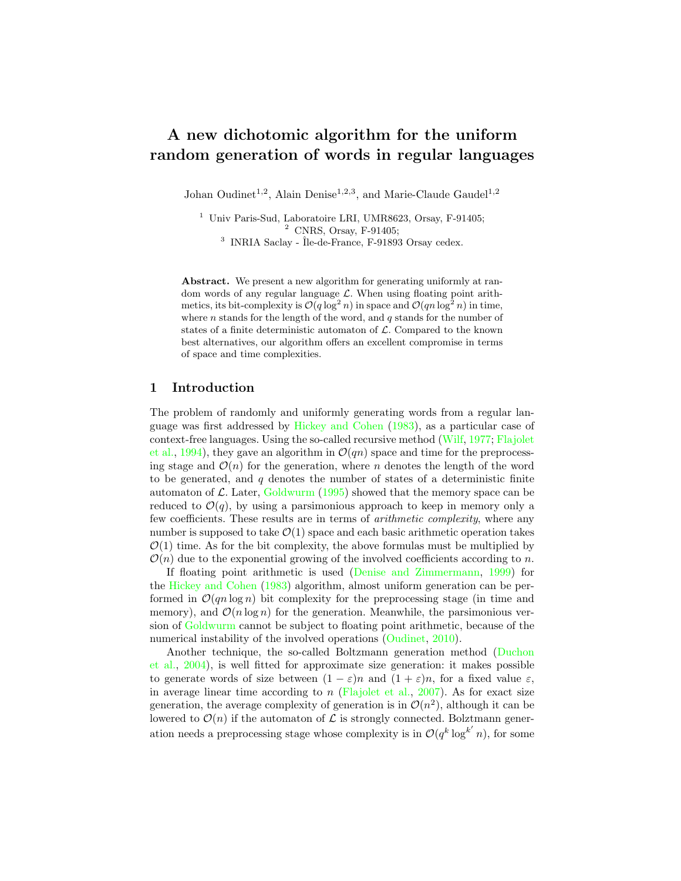# <span id="page-0-0"></span>A new dichotomic algorithm for the uniform random generation of words in regular languages

Johan Oudinet<sup>1,2</sup>, Alain Denise<sup>1,2,3</sup>, and Marie-Claude Gaudel<sup>1,2</sup>

<sup>1</sup> Univ Paris-Sud, Laboratoire LRI, UMR8623, Orsay, F-91405;  $2$  CNRS, Orsay, F-91405; <sup>3</sup> INRIA Saclay - Île-de-France, F-91893 Orsay cedex.

Abstract. We present a new algorithm for generating uniformly at random words of any regular language  $\mathcal{L}$ . When using floating point arithmetics, its bit-complexity is  $\mathcal{O}(q \log^2 n)$  in space and  $\mathcal{O}(qn \log^2 n)$  in time, where  $n$  stands for the length of the word, and  $q$  stands for the number of states of a finite deterministic automaton of  $\mathcal{L}$ . Compared to the known best alternatives, our algorithm offers an excellent compromise in terms of space and time complexities.

### 1 Introduction

The problem of randomly and uniformly generating words from a regular language was first addressed by [Hickey and Cohen](#page-9-0) [\(1983\)](#page-9-0), as a particular case of context-free languages. Using the so-called recursive method [\(Wilf,](#page-9-1) [1977;](#page-9-1) [Flajolet](#page-9-2) [et al.,](#page-9-2) [1994\)](#page-9-2), they gave an algorithm in  $\mathcal{O}(qn)$  space and time for the preprocessing stage and  $\mathcal{O}(n)$  for the generation, where n denotes the length of the word to be generated, and  $q$  denotes the number of states of a deterministic finite automaton of  $\mathcal{L}$ . Later, [Goldwurm](#page-9-3) [\(1995\)](#page-9-3) showed that the memory space can be reduced to  $\mathcal{O}(q)$ , by using a parsimonious approach to keep in memory only a few coefficients. These results are in terms of arithmetic complexity, where any number is supposed to take  $\mathcal{O}(1)$  space and each basic arithmetic operation takes  $\mathcal{O}(1)$  time. As for the bit complexity, the above formulas must be multiplied by  $\mathcal{O}(n)$  due to the exponential growing of the involved coefficients according to n.

If floating point arithmetic is used [\(Denise and Zimmermann,](#page-9-4) [1999\)](#page-9-4) for the [Hickey and Cohen](#page-9-0) [\(1983\)](#page-9-0) algorithm, almost uniform generation can be performed in  $\mathcal{O}(qn \log n)$  bit complexity for the preprocessing stage (in time and memory), and  $\mathcal{O}(n \log n)$  for the generation. Meanwhile, the parsimonious version of [Goldwurm](#page-9-3) cannot be subject to floating point arithmetic, because of the numerical instability of the involved operations [\(Oudinet,](#page-9-5) [2010\)](#page-9-5).

Another technique, the so-called Boltzmann generation method [\(Duchon](#page-9-6) [et al.,](#page-9-6) [2004\)](#page-9-6), is well fitted for approximate size generation: it makes possible to generate words of size between  $(1 - \varepsilon)n$  and  $(1 + \varepsilon)n$ , for a fixed value  $\varepsilon$ , in average linear time according to  $n$  [\(Flajolet et al.,](#page-9-7) [2007\)](#page-9-7). As for exact size generation, the average complexity of generation is in  $\mathcal{O}(n^2)$ , although it can be lowered to  $\mathcal{O}(n)$  if the automaton of  $\mathcal L$  is strongly connected. Bolztmann generation needs a preprocessing stage whose complexity is in  $\mathcal{O}(q^k \log^{k'} n)$ , for some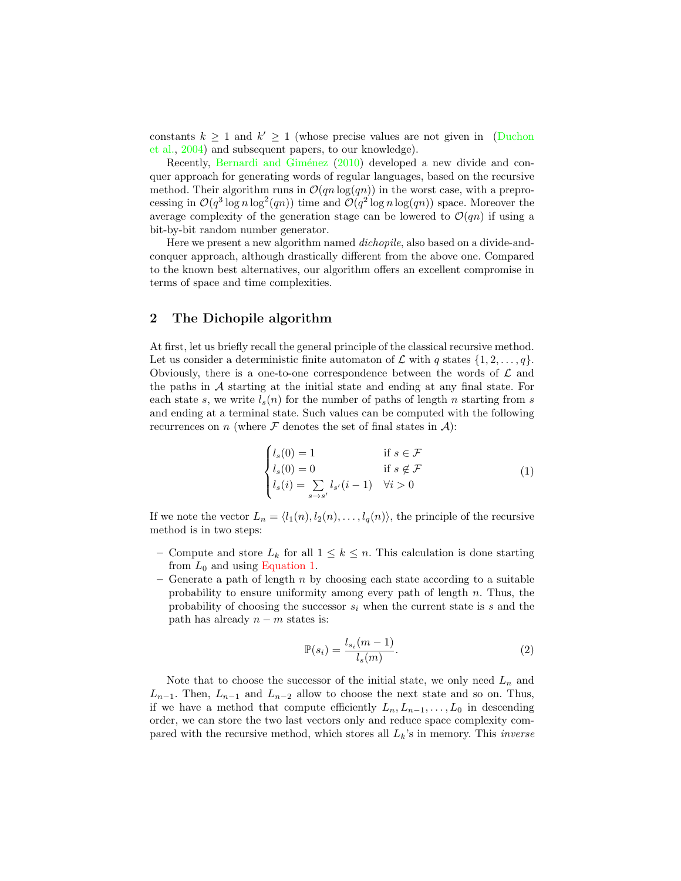<span id="page-1-2"></span>constants  $k \geq 1$  and  $k' \geq 1$  (whose precise values are not given in [\(Duchon](#page-9-6) [et al.,](#page-9-6) [2004\)](#page-9-6) and subsequent papers, to our knowledge).

Recently, Bernardi and Giménez [\(2010\)](#page-9-8) developed a new divide and conquer approach for generating words of regular languages, based on the recursive method. Their algorithm runs in  $\mathcal{O}(qn \log(qn))$  in the worst case, with a preprocessing in  $\mathcal{O}(q^3 \log n \log^2(qn))$  time and  $\mathcal{O}(q^2 \log n \log(qn))$  space. Moreover the average complexity of the generation stage can be lowered to  $\mathcal{O}(qn)$  if using a bit-by-bit random number generator.

Here we present a new algorithm named dichopile, also based on a divide-andconquer approach, although drastically different from the above one. Compared to the known best alternatives, our algorithm offers an excellent compromise in terms of space and time complexities.

## 2 The Dichopile algorithm

At first, let us briefly recall the general principle of the classical recursive method. Let us consider a deterministic finite automaton of  $\mathcal L$  with q states  $\{1, 2, \ldots, q\}$ . Obviously, there is a one-to-one correspondence between the words of  $\mathcal L$  and the paths in A starting at the initial state and ending at any final state. For each state s, we write  $l_s(n)$  for the number of paths of length n starting from s and ending at a terminal state. Such values can be computed with the following recurrences on n (where  $\mathcal F$  denotes the set of final states in  $\mathcal A$ ):

<span id="page-1-0"></span>
$$
\begin{cases}\n l_s(0) = 1 & \text{if } s \in \mathcal{F} \\
l_s(0) = 0 & \text{if } s \notin \mathcal{F} \\
l_s(i) = \sum_{s \to s'} l_{s'}(i-1) & \forall i > 0\n \end{cases}\n \tag{1}
$$

If we note the vector  $L_n = \langle l_1(n), l_2(n), \ldots, l_q(n) \rangle$ , the principle of the recursive method is in two steps:

- Compute and store  $L_k$  for all  $1 \leq k \leq n$ . This calculation is done starting from  $L_0$  and using [Equation 1.](#page-1-0)
- Generate a path of length  $n$  by choosing each state according to a suitable probability to ensure uniformity among every path of length  $n$ . Thus, the probability of choosing the successor  $s_i$  when the current state is s and the path has already  $n - m$  states is:

<span id="page-1-1"></span>
$$
\mathbb{P}(s_i) = \frac{l_{s_i}(m-1)}{l_s(m)}.\tag{2}
$$

Note that to choose the successor of the initial state, we only need  $L_n$  and  $L_{n-1}$ . Then,  $L_{n-1}$  and  $L_{n-2}$  allow to choose the next state and so on. Thus, if we have a method that compute efficiently  $L_n, L_{n-1}, \ldots, L_0$  in descending order, we can store the two last vectors only and reduce space complexity compared with the recursive method, which stores all  $L_k$ 's in memory. This *inverse*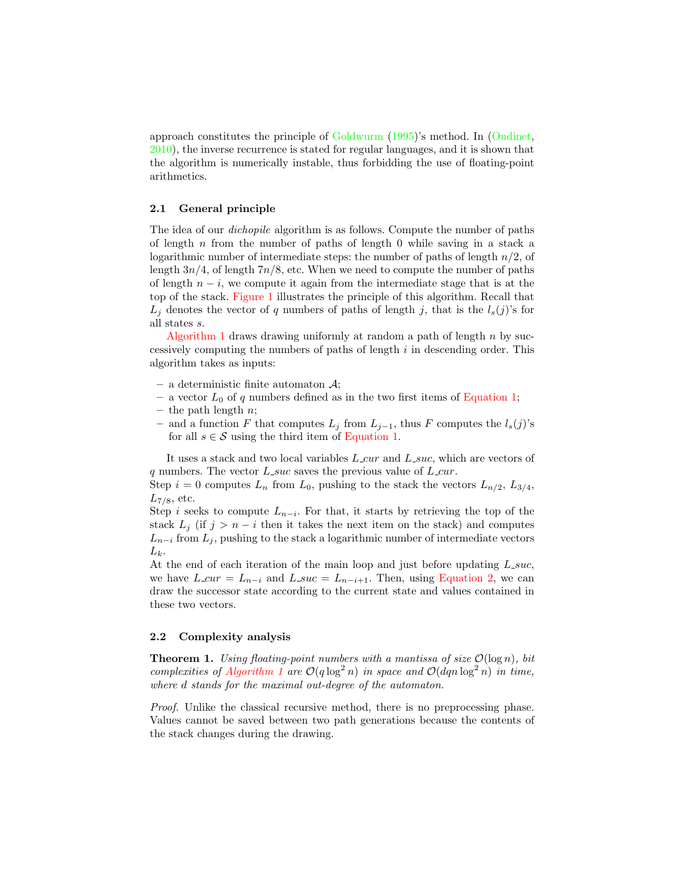<span id="page-2-0"></span>approach constitutes the principle of [Goldwurm](#page-9-3) [\(1995\)](#page-9-3)'s method. In [\(Oudinet,](#page-9-5) [2010\)](#page-9-5), the inverse recurrence is stated for regular languages, and it is shown that the algorithm is numerically instable, thus forbidding the use of floating-point arithmetics.

#### 2.1 General principle

The idea of our dichopile algorithm is as follows. Compute the number of paths of length  $n$  from the number of paths of length 0 while saving in a stack a logarithmic number of intermediate steps: the number of paths of length  $n/2$ , of length  $3n/4$ , of length  $7n/8$ , etc. When we need to compute the number of paths of length  $n - i$ , we compute it again from the intermediate stage that is at the top of the stack. [Figure 1](#page-3-0) illustrates the principle of this algorithm. Recall that  $L_j$  denotes the vector of q numbers of paths of length j, that is the  $l_s(j)$ 's for all states s.

[Algorithm 1](#page-4-0) draws drawing uniformly at random a path of length  $n$  by successively computing the numbers of paths of length  $i$  in descending order. This algorithm takes as inputs:

- a deterministic finite automaton  $\mathcal{A}$ ;
- a vector  $L_0$  of q numbers defined as in the two first items of [Equation 1;](#page-1-0)
- the path length  $n$ ;
- and a function F that computes  $L_j$  from  $L_{j-1}$ , thus F computes the  $l_s(j)$ 's for all  $s \in \mathcal{S}$  using the third item of [Equation 1.](#page-1-0)

It uses a stack and two local variables  $L_{\text{c}} \alpha r$  and  $L_{\text{c}} \alpha r$ , which are vectors of q numbers. The vector  $L$  suc saves the previous value of  $L$  cur.

Step  $i = 0$  computes  $L_n$  from  $L_0$ , pushing to the stack the vectors  $L_{n/2}$ ,  $L_{3/4}$ ,  $L_{7/8}$ , etc.

Step i seeks to compute  $L_{n-i}$ . For that, it starts by retrieving the top of the stack  $L_i$  (if  $j > n - i$  then it takes the next item on the stack) and computes  $L_{n-i}$  from  $L_j$ , pushing to the stack a logarithmic number of intermediate vectors  $L_k$ .

At the end of each iteration of the main loop and just before updating  $L$ -suc, we have  $L_{\text{c}} u = L_{n-i}$  and  $L_{\text{c}} s u = L_{n-i+1}$ . Then, using [Equation 2,](#page-1-1) we can draw the successor state according to the current state and values contained in these two vectors.

#### 2.2 Complexity analysis

**Theorem 1.** Using floating-point numbers with a mantissa of size  $\mathcal{O}(\log n)$ , bit complexities of [Algorithm 1](#page-4-0) are  $O(q \log^2 n)$  in space and  $O(dqn \log^2 n)$  in time, where d stands for the maximal out-degree of the automaton.

Proof. Unlike the classical recursive method, there is no preprocessing phase. Values cannot be saved between two path generations because the contents of the stack changes during the drawing.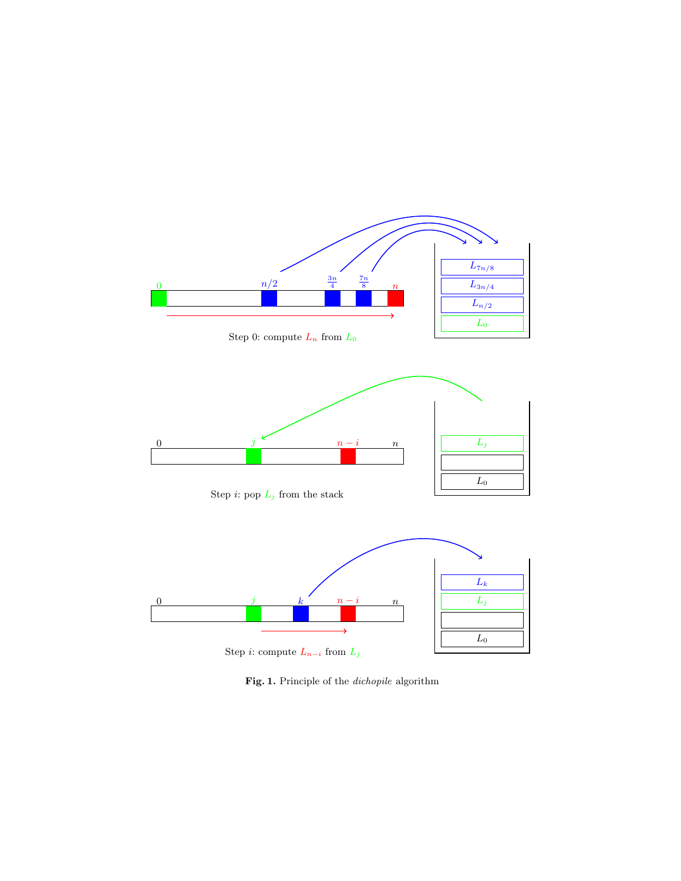<span id="page-3-0"></span>

Step 0: compute  $L_n$  from  $L_0$ 







Fig. 1. Principle of the *dichopile* algorithm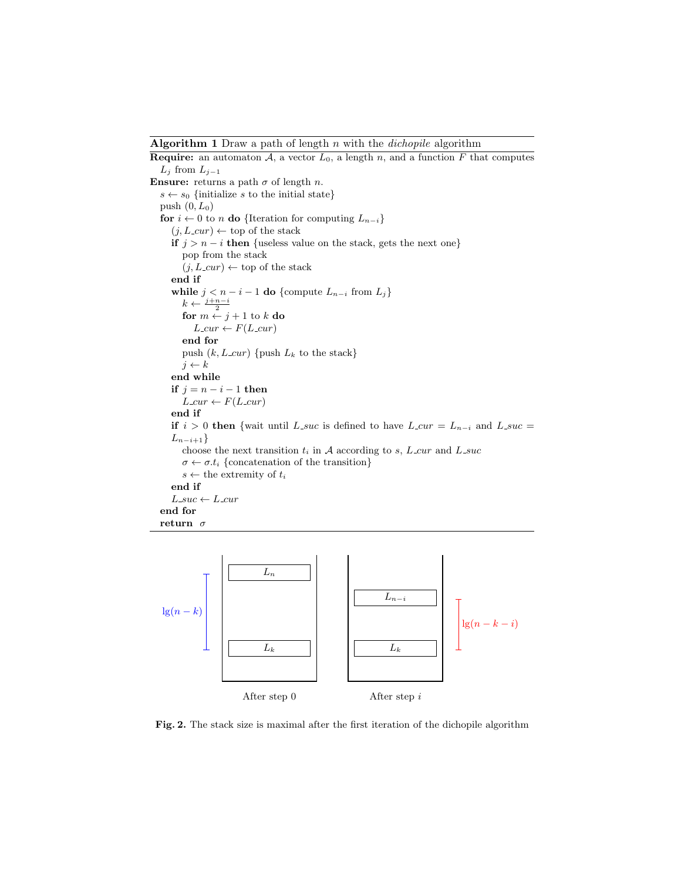<span id="page-4-0"></span>**Algorithm 1** Draw a path of length  $n$  with the *dichopile* algorithm

**Require:** an automaton  $A$ , a vector  $L_0$ , a length n, and a function F that computes  $L_j$  from  $L_{j-1}$ Ensure: returns a path  $\sigma$  of length n.  $s \leftarrow s_0$  {initialize s to the initial state} push  $(0, L_0)$ for  $i \leftarrow 0$  to n do {Iteration for computing  $L_{n-i}$ }  $(j, L.cur) \leftarrow$  top of the stack if  $j > n - i$  then {useless value on the stack, gets the next one} pop from the stack  $(j, L.cur) \leftarrow$  top of the stack end if while  $j < n - i - 1$  do {compute  $L_{n-i}$  from  $L_j$ }  $k \leftarrow \frac{j+n-i}{2}$ for  $m \leftarrow j + 1$  to  $k$  do  $L.cur \leftarrow F(L.cur)$ end for push  $(k, L_{\text{cur}})$  {push  $L_k$  to the stack}  $j \leftarrow k$ end while if  $j = n - i - 1$  then  $L_{\textit{-cur}} \leftarrow F(L_{\textit{-cur}})$ end if if  $i > 0$  then {wait until L\_suc is defined to have L\_cur = L<sub>n−i</sub> and L\_suc =  $L_{n-i+1}$ choose the next transition  $t_i$  in A according to s,  $L_{\text{cur}}$  and  $L_{\text{succ}}$  $\sigma \leftarrow \sigma.t_i$  {concatenation of the transition}  $s \leftarrow$  the extremity of  $t_i$ end if  $L$ -suc  $\leftarrow$   $L$ -cur end for return  $\sigma$ 

<span id="page-4-1"></span>

Fig. 2. The stack size is maximal after the first iteration of the dichopile algorithm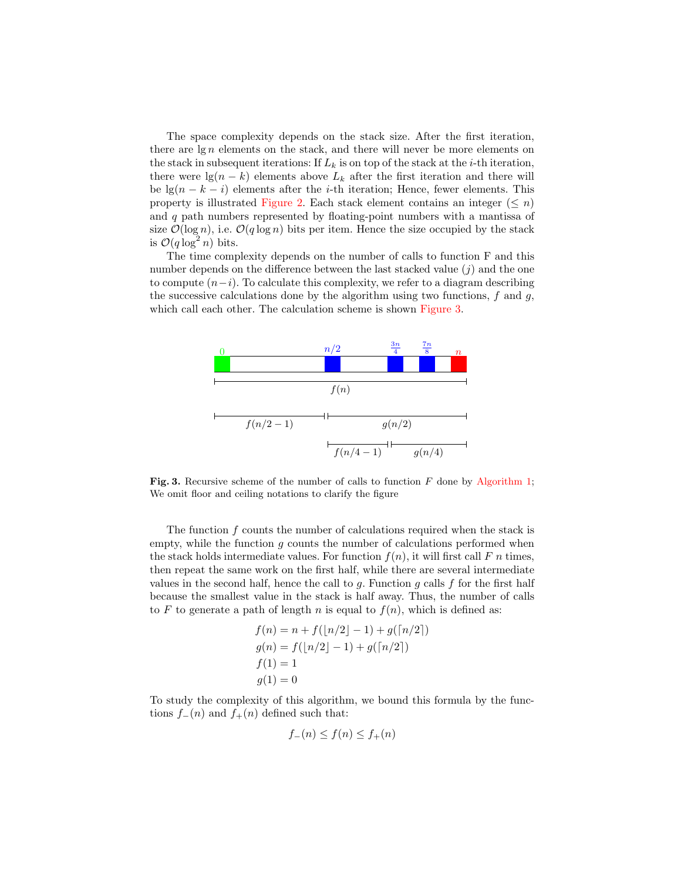The space complexity depends on the stack size. After the first iteration, there are  $\lg n$  elements on the stack, and there will never be more elements on the stack in subsequent iterations: If  $L_k$  is on top of the stack at the *i*-th iteration, there were  $\lg(n - k)$  elements above  $L_k$  after the first iteration and there will be  $\lg(n - k - i)$  elements after the *i*-th iteration; Hence, fewer elements. This property is illustrated [Figure 2.](#page-4-1) Each stack element contains an integer ( $\leq n$ ) and  $q$  path numbers represented by floating-point numbers with a mantissa of size  $\mathcal{O}(\log n)$ , i.e.  $\mathcal{O}(q \log n)$  bits per item. Hence the size occupied by the stack is  $\mathcal{O}(q \log^2 n)$  bits.

The time complexity depends on the number of calls to function F and this number depends on the difference between the last stacked value  $(j)$  and the one to compute  $(n-i)$ . To calculate this complexity, we refer to a diagram describing the successive calculations done by the algorithm using two functions,  $f$  and  $g$ , which call each other. The calculation scheme is shown [Figure 3.](#page-5-0)

<span id="page-5-0"></span>

Fig. 3. Recursive scheme of the number of calls to function  $F$  done by [Algorithm 1;](#page-4-0) We omit floor and ceiling notations to clarify the figure

The function  $f$  counts the number of calculations required when the stack is empty, while the function  $g$  counts the number of calculations performed when the stack holds intermediate values. For function  $f(n)$ , it will first call F n times, then repeat the same work on the first half, while there are several intermediate values in the second half, hence the call to  $q$ . Function  $q$  calls  $f$  for the first half because the smallest value in the stack is half away. Thus, the number of calls to F to generate a path of length n is equal to  $f(n)$ , which is defined as:

$$
f(n) = n + f([n/2] - 1) + g([n/2])
$$
  
\n
$$
g(n) = f([n/2] - 1) + g([n/2])
$$
  
\n
$$
f(1) = 1
$$
  
\n
$$
g(1) = 0
$$

To study the complexity of this algorithm, we bound this formula by the functions  $f_-(n)$  and  $f_+(n)$  defined such that:

$$
f_{-}(n) \le f(n) \le f_{+}(n)
$$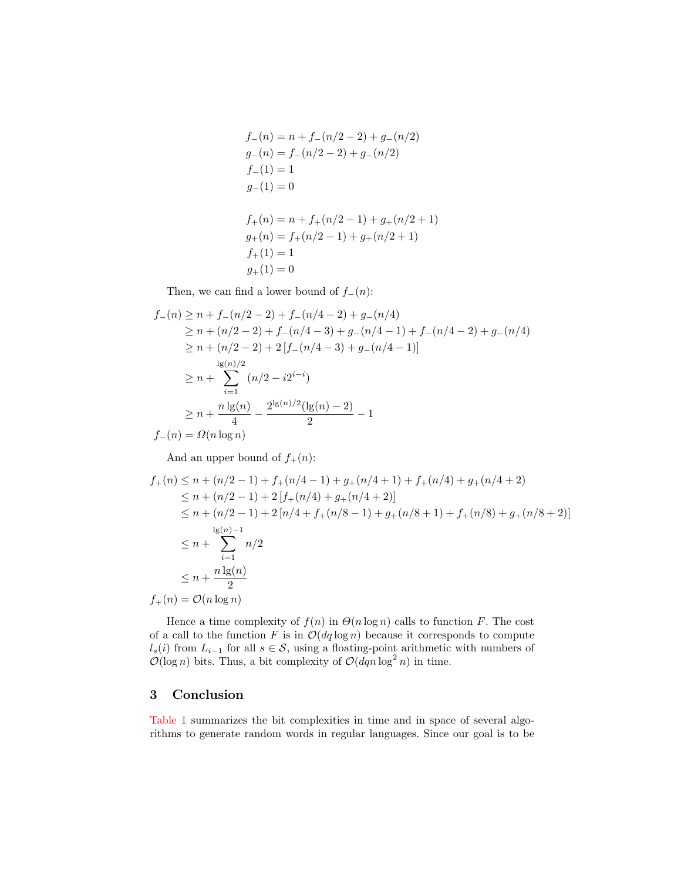$$
f_{-}(n) = n + f_{-}(n/2 - 2) + g_{-}(n/2)
$$
  
\n
$$
g_{-}(n) = f_{-}(n/2 - 2) + g_{-}(n/2)
$$
  
\n
$$
f_{-}(1) = 1
$$
  
\n
$$
g_{-}(1) = 0
$$
  
\n
$$
f_{+}(n) = n + f_{+}(n/2 - 1) + g_{+}(n/2 + 1)
$$
  
\n
$$
g_{+}(n) = f_{+}(n/2 - 1) + g_{+}(n/2 + 1)
$$
  
\n
$$
f_{+}(1) = 1
$$
  
\n
$$
g_{+}(1) = 0
$$

Then, we can find a lower bound of  $f_-(n)$ :

$$
f_{-}(n) \ge n + f_{-}(n/2 - 2) + f_{-}(n/4 - 2) + g_{-}(n/4)
$$
  
\n
$$
\ge n + (n/2 - 2) + f_{-}(n/4 - 3) + g_{-}(n/4 - 1) + f_{-}(n/4 - 2) + g_{-}(n/4)
$$
  
\n
$$
\ge n + (n/2 - 2) + 2[f_{-}(n/4 - 3) + g_{-}(n/4 - 1)]
$$
  
\n
$$
\ge n + \sum_{i=1}^{\lg(n)/2} (n/2 - i2^{i-i})
$$
  
\n
$$
\ge n + \frac{n \lg(n)}{4} - \frac{2^{\lg(n)/2} (\lg(n) - 2)}{2} - 1
$$
  
\n
$$
f_{-}(n) = \Omega(n \log n)
$$

And an upper bound of  $f_+(n)$ :

$$
f_{+}(n) \leq n + (n/2 - 1) + f_{+}(n/4 - 1) + g_{+}(n/4 + 1) + f_{+}(n/4) + g_{+}(n/4 + 2)
$$
  
\n
$$
\leq n + (n/2 - 1) + 2[f_{+}(n/4) + g_{+}(n/4 + 2)]
$$
  
\n
$$
\leq n + (n/2 - 1) + 2[n/4 + f_{+}(n/8 - 1) + g_{+}(n/8 + 1) + f_{+}(n/8) + g_{+}(n/8 + 2)]
$$
  
\n
$$
\leq n + \sum_{i=1}^{\lg(n)-1} n/2
$$
  
\n
$$
\leq n + \frac{n \lg(n)}{2}
$$

 $f_+(n) = \mathcal{O}(n \log n)$ 

Hence a time complexity of  $f(n)$  in  $\Theta(n \log n)$  calls to function F. The cost of a call to the function F is in  $\mathcal{O}(dq \log n)$  because it corresponds to compute  $l_s(i)$  from  $L_{i-1}$  for all  $s \in \mathcal{S}$ , using a floating-point arithmetic with numbers of  $\mathcal{O}(\log n)$  bits. Thus, a bit complexity of  $\mathcal{O}(dqn \log^2 n)$  in time.

## 3 Conclusion

[Table 1](#page-7-0) summarizes the bit complexities in time and in space of several algorithms to generate random words in regular languages. Since our goal is to be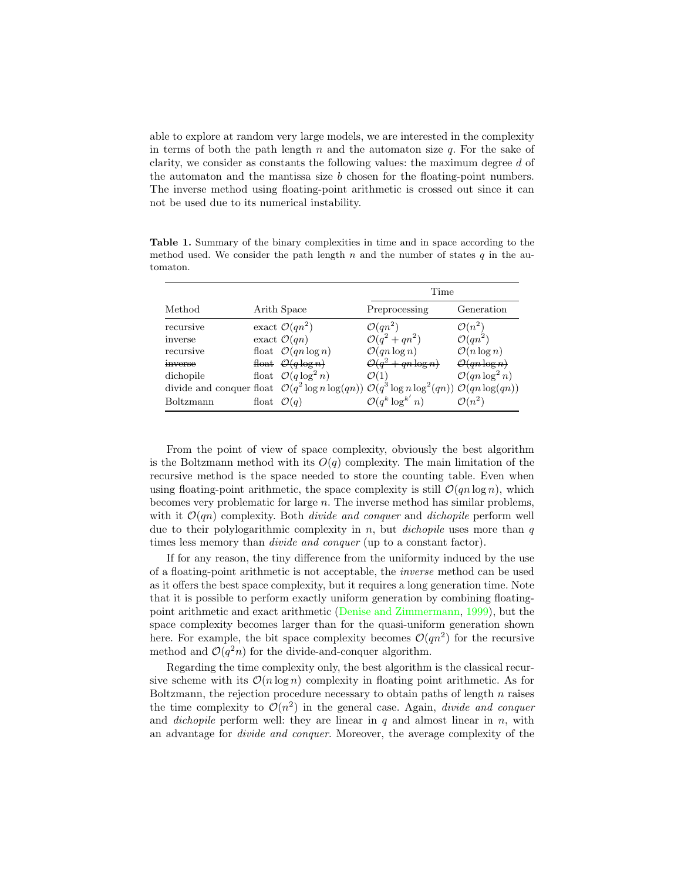<span id="page-7-1"></span>able to explore at random very large models, we are interested in the complexity in terms of both the path length n and the automaton size  $q$ . For the sake of clarity, we consider as constants the following values: the maximum degree d of the automaton and the mantissa size b chosen for the floating-point numbers. The inverse method using floating-point arithmetic is crossed out since it can not be used due to its numerical instability.

method used. We consider the path length n and the number of states  $q$  in the automaton.

<span id="page-7-0"></span>Table 1. Summary of the binary complexities in time and in space according to the

|           |                        |                                 | Time                                                                                      |                            |
|-----------|------------------------|---------------------------------|-------------------------------------------------------------------------------------------|----------------------------|
| Method    |                        | Arith Space                     | Preprocessing                                                                             | Generation                 |
| recursive |                        | exact $\mathcal{O}(qn^2)$       | $\mathcal{O}(qn^2)$                                                                       | $\mathcal{O}(n^2)$         |
| inverse   |                        | exact $\mathcal{O}(qn)$         | $O(q^2+qn^2)$                                                                             | $\mathcal{O}(qn^2)$        |
| recursive |                        | float $\mathcal{O}(qn \log n)$  | $\mathcal{O}(qn \log n)$                                                                  | $\mathcal{O}(n \log n)$    |
| inverse   |                        | float $O(q \log n)$             | $O(q^2+qn\log n)$                                                                         | $O(qn \log n)$             |
| dichopile |                        | float $\mathcal{O}(q \log^2 n)$ | $\mathcal{O}(1)$                                                                          | $\mathcal{O}(qn \log^2 n)$ |
|           |                        |                                 | divide and conquer float $O(q^2 \log n \log(qn)) O(q^3 \log n \log^2(qn)) O(qn \log(qn))$ |                            |
| Boltzmann | float $\mathcal{O}(q)$ |                                 | $\mathcal{O}(q^k \log^{k'} n)$                                                            | $\mathcal{O}(n^2)$         |

From the point of view of space complexity, obviously the best algorithm is the Boltzmann method with its  $O(q)$  complexity. The main limitation of the recursive method is the space needed to store the counting table. Even when using floating-point arithmetic, the space complexity is still  $\mathcal{O}(qn \log n)$ , which becomes very problematic for large n. The inverse method has similar problems, with it  $\mathcal{O}(qn)$  complexity. Both *divide and conquer* and *dichopile* perform well due to their polylogarithmic complexity in  $n$ , but *dichopile* uses more than  $q$ times less memory than *divide and conquer* (up to a constant factor).

If for any reason, the tiny difference from the uniformity induced by the use of a floating-point arithmetic is not acceptable, the inverse method can be used as it offers the best space complexity, but it requires a long generation time. Note that it is possible to perform exactly uniform generation by combining floatingpoint arithmetic and exact arithmetic [\(Denise and Zimmermann,](#page-9-4) [1999\)](#page-9-4), but the space complexity becomes larger than for the quasi-uniform generation shown here. For example, the bit space complexity becomes  $\mathcal{O}(qn^2)$  for the recursive method and  $\mathcal{O}(q^2n)$  for the divide-and-conquer algorithm.

Regarding the time complexity only, the best algorithm is the classical recursive scheme with its  $\mathcal{O}(n \log n)$  complexity in floating point arithmetic. As for Boltzmann, the rejection procedure necessary to obtain paths of length  $n$  raises the time complexity to  $\mathcal{O}(n^2)$  in the general case. Again, *divide and conquer* and *dichopile* perform well: they are linear in  $q$  and almost linear in  $n$ , with an advantage for divide and conquer. Moreover, the average complexity of the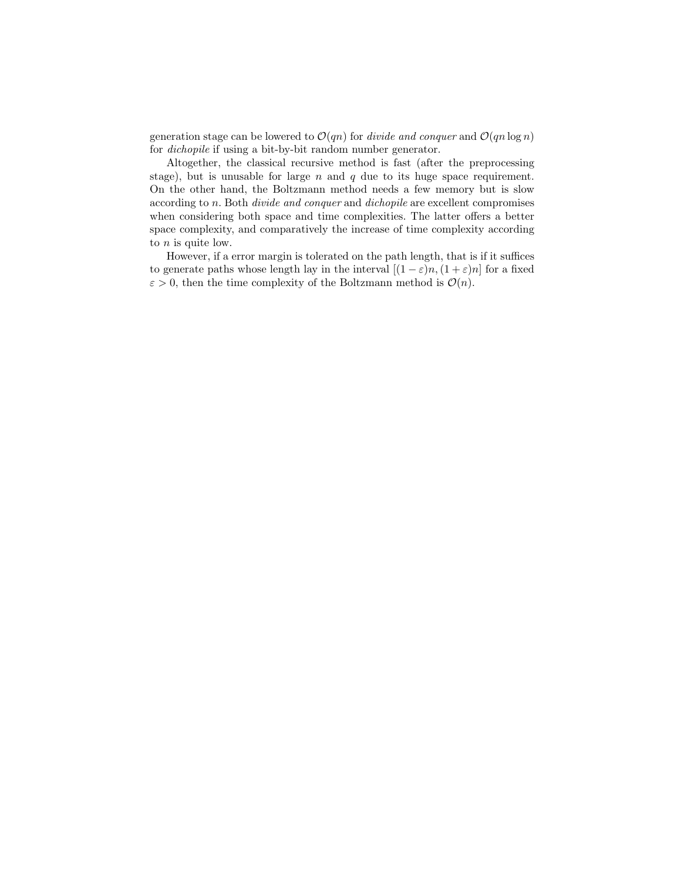generation stage can be lowered to  $\mathcal{O}(qn)$  for *divide and conquer* and  $\mathcal{O}(qn \log n)$ for dichopile if using a bit-by-bit random number generator.

Altogether, the classical recursive method is fast (after the preprocessing stage), but is unusable for large  $n$  and  $q$  due to its huge space requirement. On the other hand, the Boltzmann method needs a few memory but is slow according to n. Both divide and conquer and dichopile are excellent compromises when considering both space and time complexities. The latter offers a better space complexity, and comparatively the increase of time complexity according to  $n$  is quite low.

However, if a error margin is tolerated on the path length, that is if it suffices to generate paths whose length lay in the interval  $[(1 - \varepsilon)n, (1 + \varepsilon)n]$  for a fixed  $\varepsilon > 0$ , then the time complexity of the Boltzmann method is  $\mathcal{O}(n)$ .